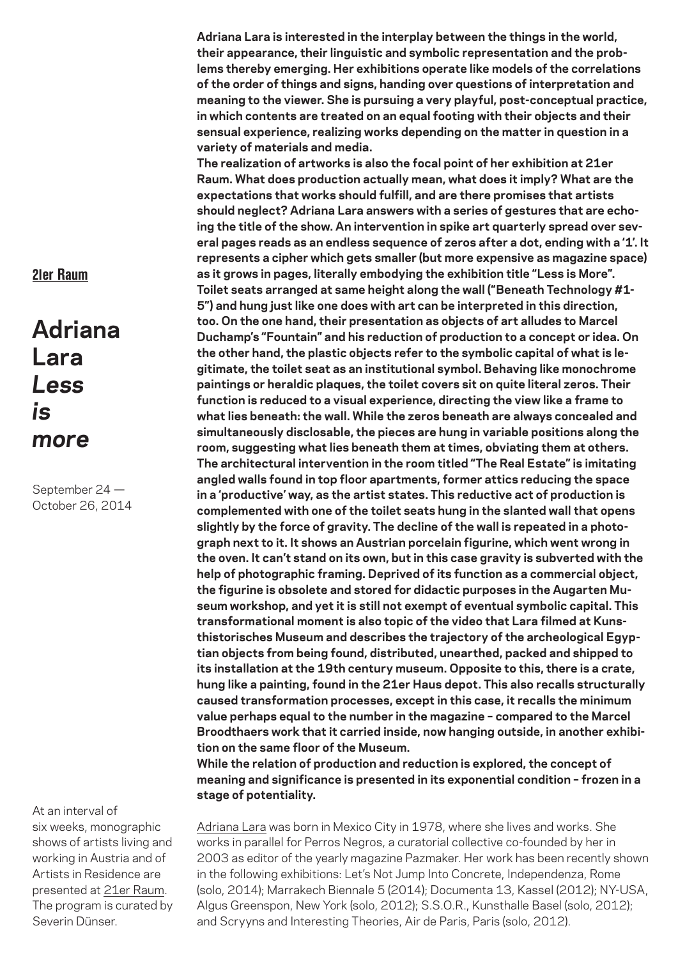**Adriana Lara is interested in the interplay between the things in the world, their appearance, their linguistic and symbolic representation and the problems thereby emerging. Her exhibitions operate like models of the correlations of the order of things and signs, handing over questions of interpretation and meaning to the viewer. She is pursuing a very playful, post-conceptual practice, in which contents are treated on an equal footing with their objects and their sensual experience, realizing works depending on the matter in question in a variety of materials and media.**

**The realization of artworks is also the focal point of her exhibition at 21er Raum. What does production actually mean, what does it imply? What are the expectations that works should fulfill, and are there promises that artists should neglect? Adriana Lara answers with a series of gestures that are echoing the title of the show. An intervention in spike art quarterly spread over several pages reads as an endless sequence of zeros after a dot, ending with a '1'. It represents a cipher which gets smaller (but more expensive as magazine space) as it grows in pages, literally embodying the exhibition title "Less is More". Toilet seats arranged at same height along the wall ("Beneath Technology #1- 5") and hung just like one does with art can be interpreted in this direction, too. On the one hand, their presentation as objects of art alludes to Marcel Duchamp's "Fountain" and his reduction of production to a concept or idea. On the other hand, the plastic objects refer to the symbolic capital of what is legitimate, the toilet seat as an institutional symbol. Behaving like monochrome paintings or heraldic plaques, the toilet covers sit on quite literal zeros. Their function is reduced to a visual experience, directing the view like a frame to what lies beneath: the wall. While the zeros beneath are always concealed and simultaneously disclosable, the pieces are hung in variable positions along the room, suggesting what lies beneath them at times, obviating them at others. The architectural intervention in the room titled "The Real Estate" is imitating angled walls found in top floor apartments, former attics reducing the space in a 'productive' way, as the artist states. This reductive act of production is complemented with one of the toilet seats hung in the slanted wall that opens slightly by the force of gravity. The decline of the wall is repeated in a photograph next to it. It shows an Austrian porcelain figurine, which went wrong in the oven. It can't stand on its own, but in this case gravity is subverted with the help of photographic framing. Deprived of its function as a commercial object, the figurine is obsolete and stored for didactic purposes in the Augarten Museum workshop, and yet it is still not exempt of eventual symbolic capital. This transformational moment is also topic of the video that Lara filmed at Kunsthistorisches Museum and describes the trajectory of the archeological Egyptian objects from being found, distributed, unearthed, packed and shipped to its installation at the 19th century museum. Opposite to this, there is a crate, hung like a painting, found in the 21er Haus depot. This also recalls structurally caused transformation processes, except in this case, it recalls the minimum value perhaps equal to the number in the magazine – compared to the Marcel Broodthaers work that it carried inside, now hanging outside, in another exhibition on the same floor of the Museum.**

**While the relation of production and reduction is explored, the concept of meaning and significance is presented in its exponential condition – frozen in a stage of potentiality.** 

Adriana Lara was born in Mexico City in 1978, where she lives and works. She works in parallel for Perros Negros, a curatorial collective co-founded by her in 2003 as editor of the yearly magazine Pazmaker. Her work has been recently shown in the following exhibitions: Let's Not Jump Into Concrete, Independenza, Rome (solo, 2014); Marrakech Biennale 5 (2014); Documenta 13, Kassel (2012); NY-USA, Algus Greenspon, New York (solo, 2012); S.S.O.R., Kunsthalle Basel (solo, 2012); and Scryyns and Interesting Theories, Air de Paris, Paris (solo, 2012).

## 21er Raum

## **Adriana Lara** *Less is more*

September 24 — October 26, 2014

At an interval of six weeks, monographic shows of artists living and working in Austria and of Artists in Residence are presented at 21er Raum. The program is curated by Severin Dünser.